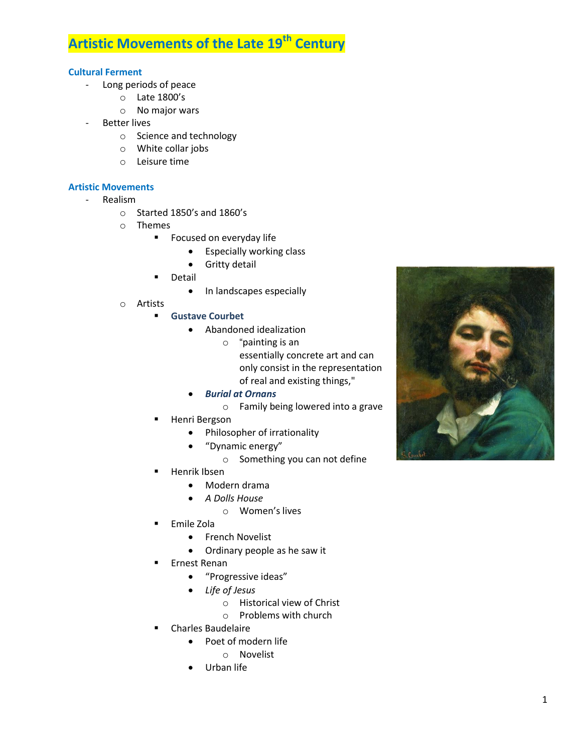## **Artistic Movements of the Late 19th Century**

## **Cultural Ferment**

- Long periods of peace
	- o Late 1800's
	- o No major wars
- **Better lives** 
	- o Science and technology
	- o White collar jobs
	- o Leisure time

## **Artistic Movements**

- Realism
	- o Started 1850's and 1860's
	- o Themes
		- **Focused on everyday life** 
			- **•** Especially working class
			- **•** Gritty detail
		- **•** Detail
			- In landscapes especially
	- o Artists
		- **Gustave Courbet**
			- Abandoned idealization
				- o "painting is an essentially concrete art and can only consist in the representation of real and existing things,"
			- *Burial at Ornans*
				- o Family being lowered into a grave
		- Henri Bergson
			- Philosopher of irrationality
			- "Dynamic energy"
				- o Something you can not define
		- Henrik Ibsen
			- Modern drama
			- *A Dolls House*
				- o Women's lives
		- Emile Zola
			- French Novelist
			- Ordinary people as he saw it
		- **Ernest Renan** 
			- "Progressive ideas"
			- *Life of Jesus*
				- o Historical view of Christ
				- o Problems with church
		- Charles Baudelaire
			- Poet of modern life
				- o Novelist
			- Urban life

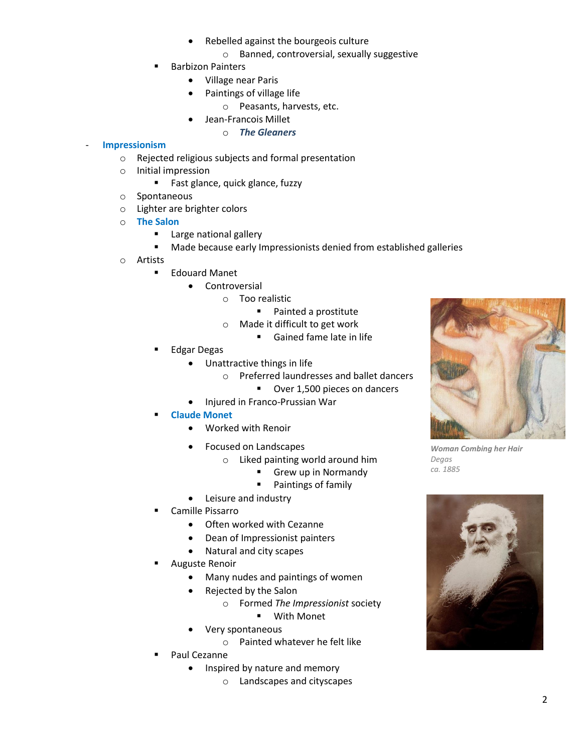- Rebelled against the bourgeois culture
	- o Banned, controversial, sexually suggestive
- Barbizon Painters
	- Village near Paris
	- Paintings of village life
		- o Peasants, harvests, etc.
	- Jean-Francois Millet
		- o *The Gleaners*

## - **Impressionism**

- o Rejected religious subjects and formal presentation
- o Initial impression
	- **Fast glance, quick glance, fuzzy**
- o Spontaneous
- o Lighter are brighter colors
- o **The Salon**
	- **Large national gallery**
	- **Made because early Impressionists denied from established galleries**
- o Artists
	- **Edouard Manet** 
		- Controversial
			- o Too realistic
				- Painted a prostitute
				- o Made it difficult to get work
					- Gained fame late in life
	- Edgar Degas
		- Unattractive things in life
			- o Preferred laundresses and ballet dancers
				- Over 1,500 pieces on dancers
			- Injured in Franco-Prussian War
	- **Claude Monet**
		- Worked with Renoir
		- Focused on Landscapes
			- o Liked painting world around him
				- Grew up in Normandy
				- **Paintings of family**
		- Leisure and industry
	- Camille Pissarro
		- Often worked with Cezanne
		- Dean of Impressionist painters
		- Natural and city scapes
	- Auguste Renoir
		- Many nudes and paintings of women
		- Rejected by the Salon
			- o Formed *The Impressionist* society
				- With Monet
		- Very spontaneous
			- o Painted whatever he felt like
	- Paul Cezanne
		- Inspired by nature and memory
			- o Landscapes and cityscapes



*Woman Combing her Hair Degas ca. 1885*